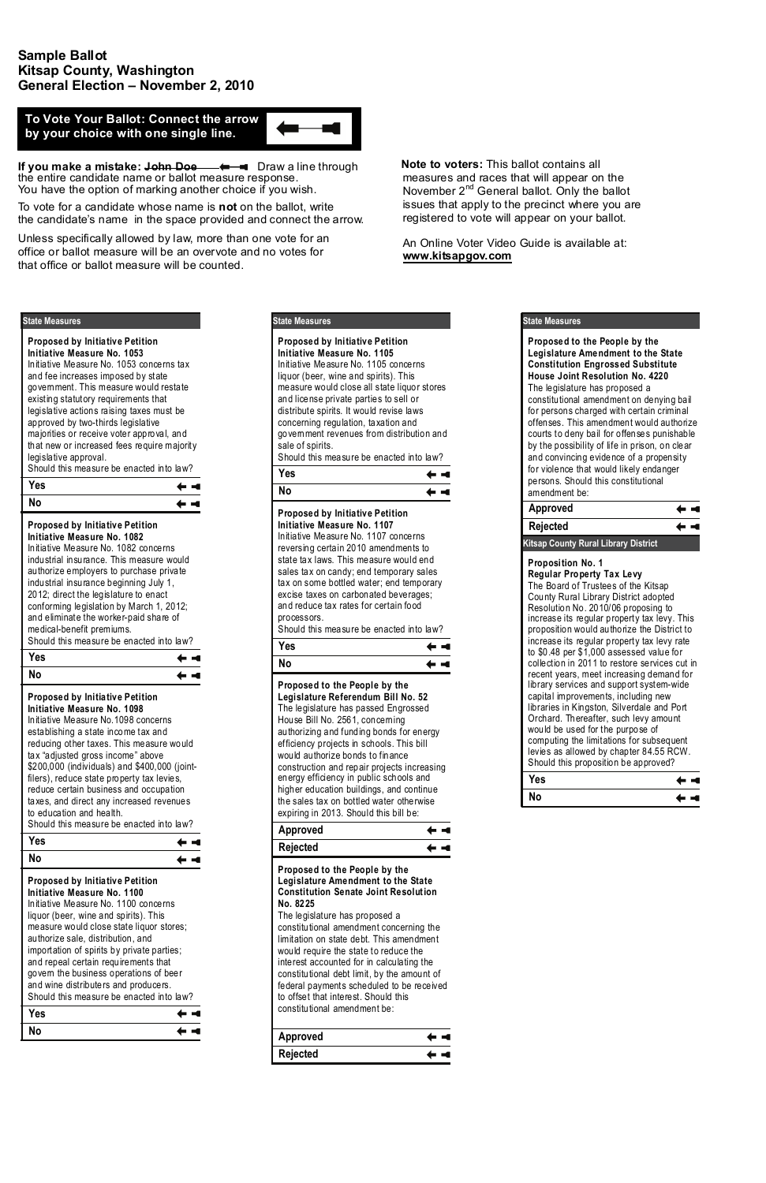# **Sample Ballot Kitsap County, Washington General Election – November 2, 2010**

**To Vote Your Ballot: Connect the arrow by your choice with one single line.** 

**If you make a mistake: John Doe**  $\leftarrow$  **-** Draw a line through the entire candidate name or ballot measure response. You have the option of marking another choice if you wish.

To vote for a candidate whose name is **not** on the ballot, write the candidate's name in the space provided and connect the arrow.

Unless specifically allowed by law, more than one vote for an office or ballot measure will be an overvote and no votes for that office or ballot measure will be counted.

## **State Measures**

**Proposed by Initiative Petition Initiative Measure No. 1053**  Initiative Measure No. 1053 concerns tax and fee increases imposed by state government. This measure would restate existing statutory requirem ents that legislative actions raising taxes must be approved by two-thirds legislative majorities or receive voter approval, and that new or increased fees require majority legislative approval.

Should this measure be enacted into law?

| Yes | $\leftarrow$ $\leftarrow$ |
|-----|---------------------------|
| No  | و. مه                     |

### **Proposed by Initiative Petition Initiative Measure No. 1082**

| Initiative Measure No. 1082 concerns     |
|------------------------------------------|
| industrial insurance. This measure would |
| authorize employers to purchase private  |
| industrial insurance beginning July 1,   |
| 2012; direct the legislature to enact    |
| conforming legislation by March 1, 2012; |
| and eliminate the worker-paid share of   |
| medical-benefit premiums.                |
| Should this measure be enacted into law? |

Should this measure be enacted into law? **Yes**   $\overline{a}$ 

| Yes | $\leftarrow$ $\leftarrow$ |
|-----|---------------------------|
| No  | — —                       |

### **Proposed by Initiative Petition Initiative Measure No. 1098**  Initiative Measure No.1098 concerns establishing a state income tax and

**Proposed to the People by the Legislature Referendum Bill No. 52** The legislature has passed Engrossed House Bill No. 2561, concerning authorizing and funding bonds for energy efficiency projects in schools. This bill would authorize bonds to finance construction and repair projects increasing energy efficiency in public schools and higher education buildings, and continue the sales tax on bottled water otherwise expiring in 2013. Should this bill be:

reducing other taxes. This measure would tax "adjusted gross income" above \$200,000 (individuals) and \$400,000 (jointfilers), reduce state property tax levies, reduce certain business and occupation taxes, and direct any increased revenues to education and health.

```
Should this measure be enacted into law?
```

| Yes | $\leftarrow$ $\leftarrow$ |
|-----|---------------------------|
| No  | --                        |

**Proposed by Initiative Petition Initiative Measure No. 1100**  Initiative Measure No. 1100 concerns liquor (beer, wine and spirits). This measure would close state liquor stores; authorize sale, distribution, and importation of spirits by private parties; and repeal certain requirements that govern the business operations of beer and wine distributers and producers. Should this measure be enacted into law?

| Yes | — —                       |
|-----|---------------------------|
| No  | $\leftarrow$ $\leftarrow$ |

## **State Measures**

**Proposed by Initiative Petition Initiative Measure No. 1105**  Initiative Measure No. 1105 concerns liquor (beer, wine and spirits). This measure would close all state liquor stores and license private parties to sell or distribute spirits. It would revise laws concerning regulation, taxation and government revenues from distribution and sale of spirits.

| . vo |  |
|------|--|
| NO   |  |

**Proposed by Initiative Petition Initiative Measure No. 1107**  Initiative Measure No. 1107 concerns reversing certain 2010 amendments to state tax laws. This measure would end sales tax on candy; end temporary sales tax on some bottled water; end temporary excise taxes on carbonated beverages; and reduce tax rates for certain food processors.

Should this measure be enacted into law?

| ı<br>I es |  |
|-----------|--|
| ı<br>۷0،  |  |

| Approved | ← ⊣ |
|----------|-----|
| Rejected | ← ⊣ |
|          |     |

**Proposed to the People by the Legislature Amendment to the State Constitution Senate Joint Resolut ion No. 8225**  The legislature has proposed a constitutional amendment concerning the limitation on state debt. This amendment would require the state to reduce the interest accounted for in calculating the constitutional debt limit, by the amount of federal payments scheduled to be received to offset that interest. Should this constitutional amendment be:

| <b>Approved</b> | $\leftarrow$ $\leftarrow$ |
|-----------------|---------------------------|
| <b>Rejected</b> | $\leftarrow -$            |

 **Note to voters:** This ballot contains all measures and races that will appear on the November 2<sup>nd</sup> General ballot. Only the ballot issues that apply to the precinct where you are registered to vote will appear on your ballot.

An Online Voter Video Guide is available at: **www.kitsapgov.com** 

## **State Measures**

**Proposed to the People by the Legislature Amendment to the State Constitution Engrossed Substitute House Joint Resolution No. 4220**  The legislature has proposed a constitutional amendment on denying bail for persons charged with certain criminal offenses. This amendment would authorize courts to deny bail for offenses punishable by the possibility of life in prison, on clear and convincing evidence of a propensity for violence that would likely endanger persons. Should this constitutional amendment be:

| Approved                                    | $\leftarrow$ $\leftarrow$ |
|---------------------------------------------|---------------------------|
| Rejected                                    | $\leftarrow$ $\leftarrow$ |
| <b>Kitsap County Rural Library District</b> |                           |

## **Proposition No. 1**

**Regular Property Tax Levy**  The Board of Trustees of the Kitsap County Rural Library District adopted Resolution No. 2010/06 proposing to increase its regular property tax levy. This proposition would authorize the District to increase its regular property tax levy rate to \$0.48 per \$1,000 assessed value for collection in 2011 to restore services cut in recent years, meet increasing demand for library services and support system-wide capital improvements, including new libraries in Kingston, Silverdale and Port Orchard. Thereafter, such levy amount would be used for the purpose of computing the limitations for subsequent levies as allowed by chapter 84.55 RCW. Should this proposition be approved?

| Yes | ← ⊣                       |
|-----|---------------------------|
| No  | $\leftarrow$ $\leftarrow$ |